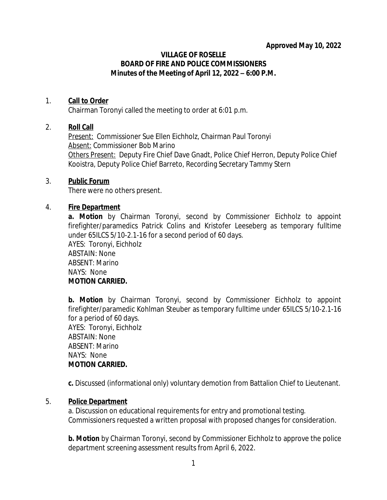### **VILLAGE OF ROSELLE BOARD OF FIRE AND POLICE COMMISSIONERS Minutes of the Meeting of April 12, 2022 – 6:00 P.M.**

# 1. **Call to Order**

Chairman Toronyi called the meeting to order at 6:01 p.m.

# 2. **Roll Call**

*Present:* Commissioner Sue Ellen Eichholz, Chairman Paul Toronyi *Absent:* Commissioner Bob Marino *Others Present:* Deputy Fire Chief Dave Gnadt, Police Chief Herron, Deputy Police Chief Kooistra, Deputy Police Chief Barreto, Recording Secretary Tammy Stern

#### 3. **Public Forum**

There were no others present.

### 4. **Fire Department**

**a. Motion** by Chairman Toronyi, second by Commissioner Eichholz to appoint firefighter/paramedics Patrick Colins and Kristofer Leeseberg as temporary fulltime under 65ILCS 5/10-2.1-16 for a second period of 60 days.

AYES: Toronyi, Eichholz ABSTAIN: None ABSENT: Marino NAYS: None **MOTION CARRIED.**

**b. Motion** by Chairman Toronyi, second by Commissioner Eichholz to appoint firefighter/paramedic Kohlman Steuber as temporary fulltime under 65ILCS 5/10-2.1-16 for a period of 60 days. AYES: Toronyi, Eichholz ABSTAIN: None ABSENT: Marino NAYS: None

# **MOTION CARRIED.**

**c.** Discussed (informational only) voluntary demotion from Battalion Chief to Lieutenant.

# 5. **Police Department**

a. Discussion on educational requirements for entry and promotional testing. Commissioners requested a written proposal with proposed changes for consideration.

**b. Motion** by Chairman Toronyi, second by Commissioner Eichholz to approve the police department screening assessment results from April 6, 2022.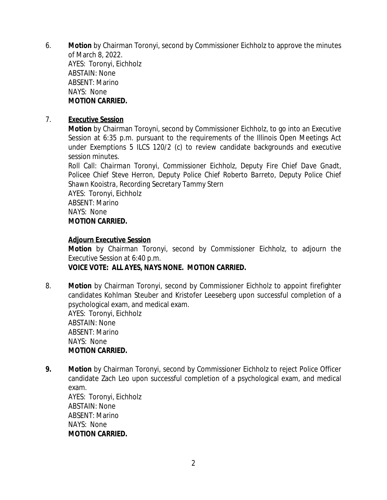6. **Motion** by Chairman Toronyi, second by Commissioner Eichholz to approve the minutes of March 8, 2022. AYES: Toronyi, Eichholz ABSTAIN: None ABSENT: Marino NAYS: None **MOTION CARRIED.**

## 7. **Executive Session**

**Motion** by Chairman Toroyni, second by Commissioner Eichholz, to go into an Executive Session at 6:35 p.m. pursuant to the requirements of the Illinois Open Meetings Act under Exemptions 5 ILCS 120/2 (c) to review candidate backgrounds and executive session minutes.

Roll Call: *Chairman Toronyi, Commissioner Eichholz, Deputy Fire Chief Dave Gnadt, Policee Chief Steve Herron, Deputy Police Chief Roberto Barreto, Deputy Police Chief Shawn Kooistra, Recording Secretary Tammy Stern*

AYES: Toronyi, Eichholz ABSENT: Marino NAYS: None **MOTION CARRIED.**

#### **Adjourn Executive Session**

**Motion** by Chairman Toronyi, second by Commissioner Eichholz, to adjourn the Executive Session at 6:40 p.m. **VOICE VOTE: ALL AYES, NAYS NONE. MOTION CARRIED.**

8. **Motion** by Chairman Toronyi, second by Commissioner Eichholz to appoint firefighter candidates Kohlman Steuber and Kristofer Leeseberg upon successful completion of a psychological exam, and medical exam. AYES: Toronyi, Eichholz ABSTAIN: None

ABSENT: Marino NAYS: None **MOTION CARRIED.**

**9. Motion** by Chairman Toronyi, second by Commissioner Eichholz to reject Police Officer candidate Zach Leo upon successful completion of a psychological exam, and medical exam.

AYES: Toronyi, Eichholz ABSTAIN: None ABSENT: Marino NAYS: None **MOTION CARRIED.**